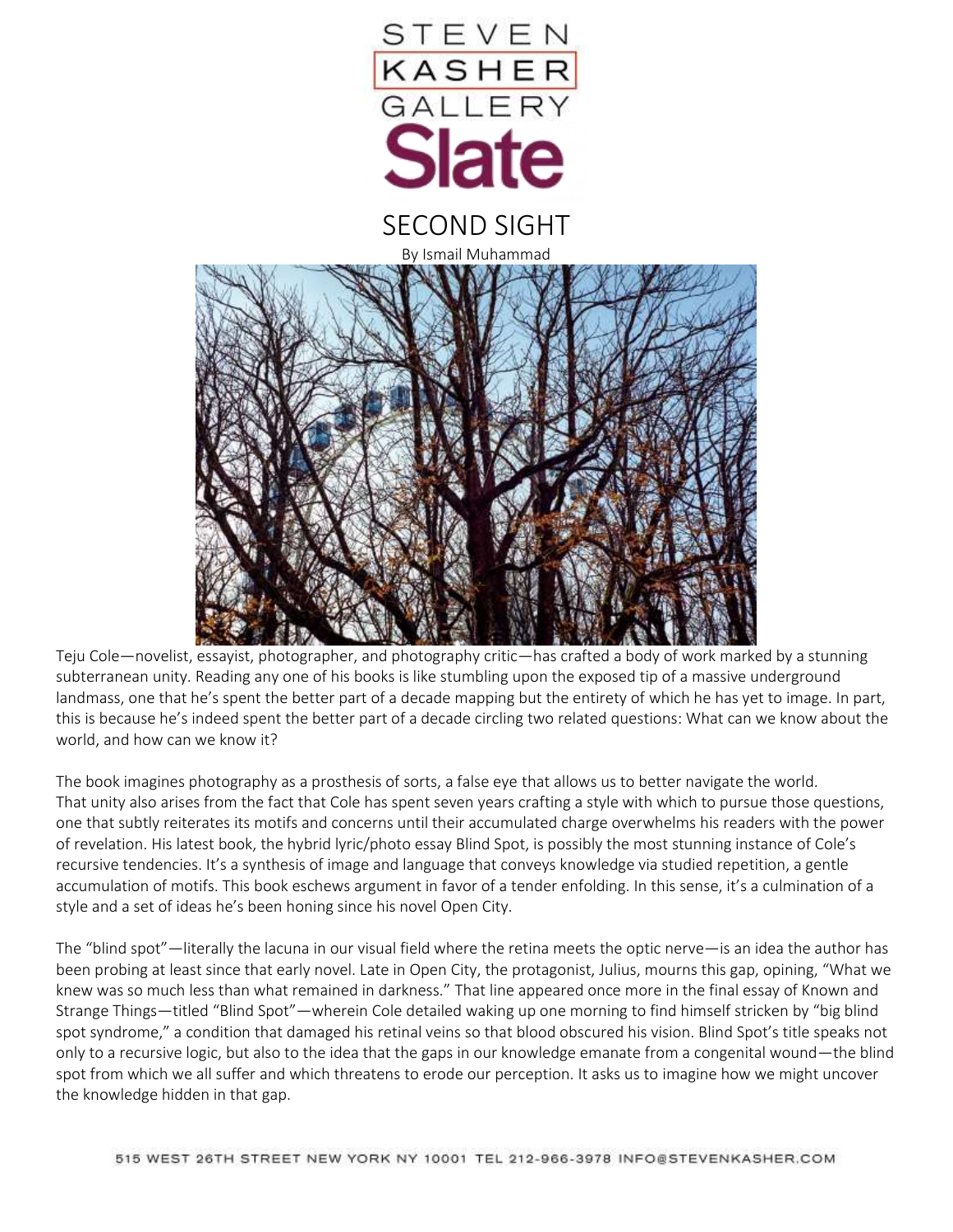

Teju Cole—novelist, essayist, photographer, and photography critic—has crafted a body of work marked by a stunning subterranean unity. Reading any one of his books is like stumbling upon the exposed tip of a massive underground landmass, one that he's spent the better part of a decade mapping but the entirety of which he has yet to image. In part, this is because he's indeed spent the better part of a decade circling two related questions: What can we know about the world, and how can we know it?

The book imagines photography as a prosthesis of sorts, a false eye that allows us to better navigate the world. That unity also arises from the fact that Cole has spent seven years crafting a style with which to pursue those questions, one that subtly reiterates its motifs and concerns until their accumulated charge overwhelms his readers with the power of revelation. His latest book, the hybrid lyric/photo essay Blind Spot, is possibly the most stunning instance of Cole's recursive tendencies. It's a synthesis of image and language that conveys knowledge via studied repetition, a gentle accumulation of motifs. This book eschews argument in favor of a tender enfolding. In this sense, it's a culmination of a style and a set of ideas he's been honing since his novel Open City.

The "blind spot"—literally the lacuna in our visual field where the retina meets the optic nerve—is an idea the author has been probing at least since that early novel. Late in Open City, the protagonist, Julius, mourns this gap, opining, "What we knew was so much less than what remained in darkness." That line appeared once more in the final essay of Known and Strange Things—titled "Blind Spot"—wherein Cole detailed waking up one morning to find himself stricken by "big blind spot syndrome," a condition that damaged his retinal veins so that blood obscured his vision. Blind Spot's title speaks not only to a recursive logic, but also to the idea that the gaps in our knowledge emanate from a congenital wound—the blind spot from which we all suffer and which threatens to erode our perception. It asks us to imagine how we might uncover the knowledge hidden in that gap.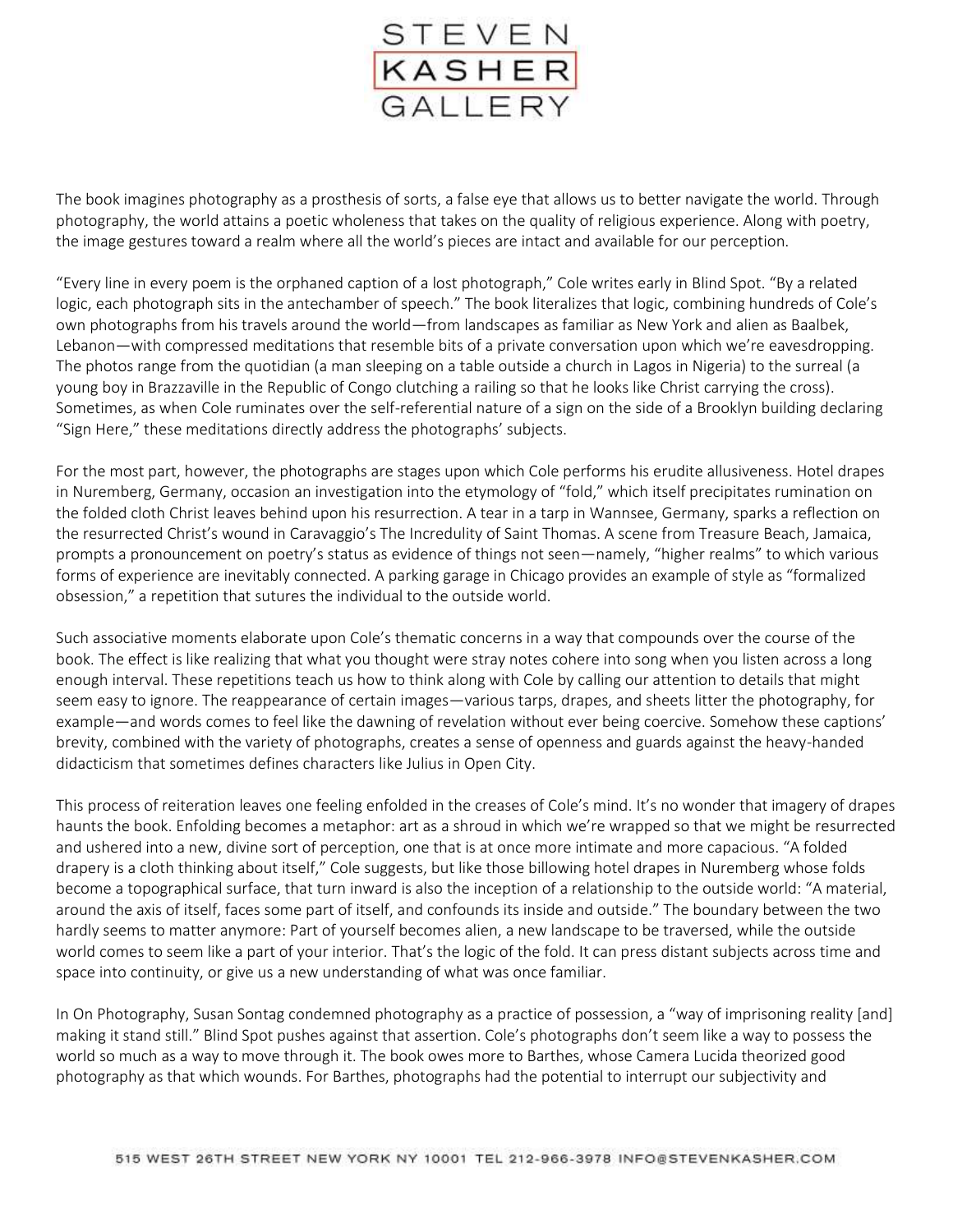

The book imagines photography as a prosthesis of sorts, a false eye that allows us to better navigate the world. Through photography, the world attains a poetic wholeness that takes on the quality of religious experience. Along with poetry, the image gestures toward a realm where all the world's pieces are intact and available for our perception.

"Every line in every poem is the orphaned caption of a lost photograph," Cole writes early in Blind Spot. "By a related logic, each photograph sits in the antechamber of speech." The book literalizes that logic, combining hundreds of Cole's own photographs from his travels around the world—from landscapes as familiar as New York and alien as Baalbek, Lebanon—with compressed meditations that resemble bits of a private conversation upon which we're eavesdropping. The photos range from the quotidian (a man sleeping on a table outside a church in Lagos in Nigeria) to the surreal (a young boy in Brazzaville in the Republic of Congo clutching a railing so that he looks like Christ carrying the cross). Sometimes, as when Cole ruminates over the self-referential nature of a sign on the side of a Brooklyn building declaring "Sign Here," these meditations directly address the photographs' subjects.

For the most part, however, the photographs are stages upon which Cole performs his erudite allusiveness. Hotel drapes in Nuremberg, Germany, occasion an investigation into the etymology of "fold," which itself precipitates rumination on the folded cloth Christ leaves behind upon his resurrection. A tear in a tarp in Wannsee, Germany, sparks a reflection on the resurrected Christ's wound in Caravaggio's The Incredulity of Saint Thomas. A scene from Treasure Beach, Jamaica, prompts a pronouncement on poetry's status as evidence of things not seen—namely, "higher realms" to which various forms of experience are inevitably connected. A parking garage in Chicago provides an example of style as "formalized obsession," a repetition that sutures the individual to the outside world.

Such associative moments elaborate upon Cole's thematic concerns in a way that compounds over the course of the book. The effect is like realizing that what you thought were stray notes cohere into song when you listen across a long enough interval. These repetitions teach us how to think along with Cole by calling our attention to details that might seem easy to ignore. The reappearance of certain images—various tarps, drapes, and sheets litter the photography, for example—and words comes to feel like the dawning of revelation without ever being coercive. Somehow these captions' brevity, combined with the variety of photographs, creates a sense of openness and guards against the heavy-handed didacticism that sometimes defines characters like Julius in Open City.

This process of reiteration leaves one feeling enfolded in the creases of Cole's mind. It's no wonder that imagery of drapes haunts the book. Enfolding becomes a metaphor: art as a shroud in which we're wrapped so that we might be resurrected and ushered into a new, divine sort of perception, one that is at once more intimate and more capacious. "A folded drapery is a cloth thinking about itself," Cole suggests, but like those billowing hotel drapes in Nuremberg whose folds become a topographical surface, that turn inward is also the inception of a relationship to the outside world: "A material, around the axis of itself, faces some part of itself, and confounds its inside and outside." The boundary between the two hardly seems to matter anymore: Part of yourself becomes alien, a new landscape to be traversed, while the outside world comes to seem like a part of your interior. That's the logic of the fold. It can press distant subjects across time and space into continuity, or give us a new understanding of what was once familiar.

In On Photography, Susan Sontag condemned photography as a practice of possession, a "way of imprisoning reality [and] making it stand still." Blind Spot pushes against that assertion. Cole's photographs don't seem like a way to possess the world so much as a way to move through it. The book owes more to Barthes, whose Camera Lucida theorized good photography as that which wounds. For Barthes, photographs had the potential to interrupt our subjectivity and